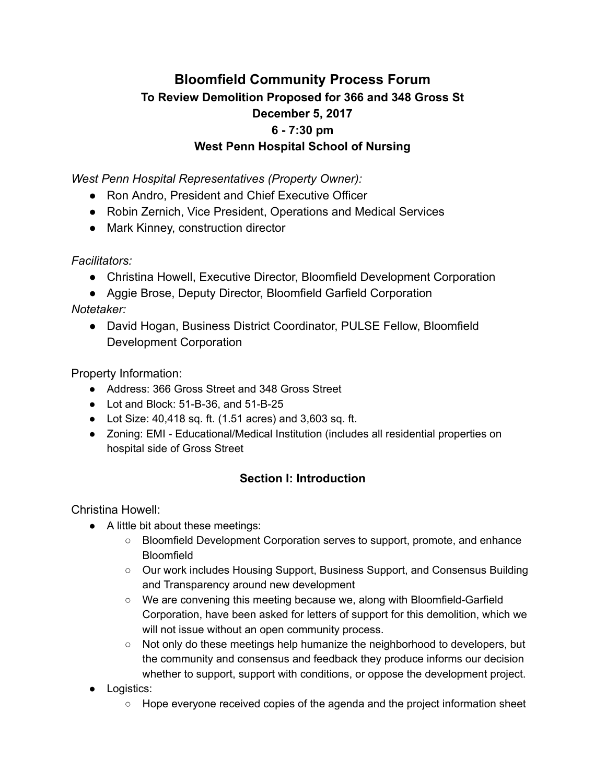# Bloomfield Community Process Forum To Review Demolition Proposed for 366 and 348 Gross St December 5, 2017 6 - 7:30 pm West Penn Hospital School of Nursing

West Penn Hospital Representatives (Property Owner):

- Ron Andro, President and Chief Executive Officer
- Robin Zernich, Vice President, Operations and Medical Services
- Mark Kinney, construction director

Facilitators:

- Christina Howell, Executive Director, Bloomfield Development Corporation
- Aggie Brose, Deputy Director, Bloomfield Garfield Corporation

Notetaker:

● David Hogan, Business District Coordinator, PULSE Fellow, Bloomfield Development Corporation

Property Information:

- Address: 366 Gross Street and 348 Gross Street
- Lot and Block: 51-B-36, and 51-B-25
- Lot Size: 40,418 sq. ft. (1.51 acres) and 3,603 sq. ft.
- Zoning: EMI Educational/Medical Institution (includes all residential properties on hospital side of Gross Street

# Section I: Introduction

Christina Howell:

- A little bit about these meetings:
	- Bloomfield Development Corporation serves to support, promote, and enhance **Bloomfield**
	- Our work includes Housing Support, Business Support, and Consensus Building and Transparency around new development
	- We are convening this meeting because we, along with Bloomfield-Garfield Corporation, have been asked for letters of support for this demolition, which we will not issue without an open community process.
	- $\circ$  Not only do these meetings help humanize the neighborhood to developers, but the community and consensus and feedback they produce informs our decision whether to support, support with conditions, or oppose the development project.
- Logistics:
	- Hope everyone received copies of the agenda and the project information sheet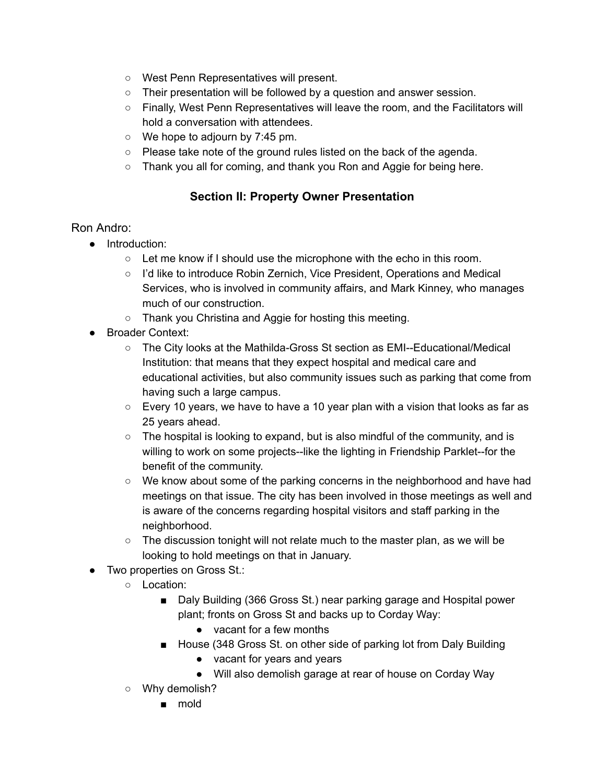- West Penn Representatives will present.
- Their presentation will be followed by a question and answer session.
- Finally, West Penn Representatives will leave the room, and the Facilitators will hold a conversation with attendees.
- We hope to adjourn by 7:45 pm.
- Please take note of the ground rules listed on the back of the agenda.
- o Thank you all for coming, and thank you Ron and Aggie for being here.

### Section II: Property Owner Presentation

### Ron Andro:

- Introduction:
	- $\circ$  Let me know if I should use the microphone with the echo in this room.
	- I'd like to introduce Robin Zernich, Vice President, Operations and Medical Services, who is involved in community affairs, and Mark Kinney, who manages much of our construction.
	- Thank you Christina and Aggie for hosting this meeting.
- Broader Context:
	- The City looks at the Mathilda-Gross St section as EMI--Educational/Medical Institution: that means that they expect hospital and medical care and educational activities, but also community issues such as parking that come from having such a large campus.
	- Every 10 years, we have to have a 10 year plan with a vision that looks as far as 25 years ahead.
	- $\circ$  The hospital is looking to expand, but is also mindful of the community, and is willing to work on some projects--like the lighting in Friendship Parklet--for the benefit of the community.
	- $\circ$  We know about some of the parking concerns in the neighborhood and have had meetings on that issue. The city has been involved in those meetings as well and is aware of the concerns regarding hospital visitors and staff parking in the neighborhood.
	- $\circ$  The discussion tonight will not relate much to the master plan, as we will be looking to hold meetings on that in January.
- Two properties on Gross St.:
	- Location:
		- Daly Building (366 Gross St.) near parking garage and Hospital power plant; fronts on Gross St and backs up to Corday Way:
			- vacant for a few months
		- House (348 Gross St. on other side of parking lot from Daly Building
			- vacant for years and years
			- Will also demolish garage at rear of house on Corday Way
	- Why demolish?
		- mold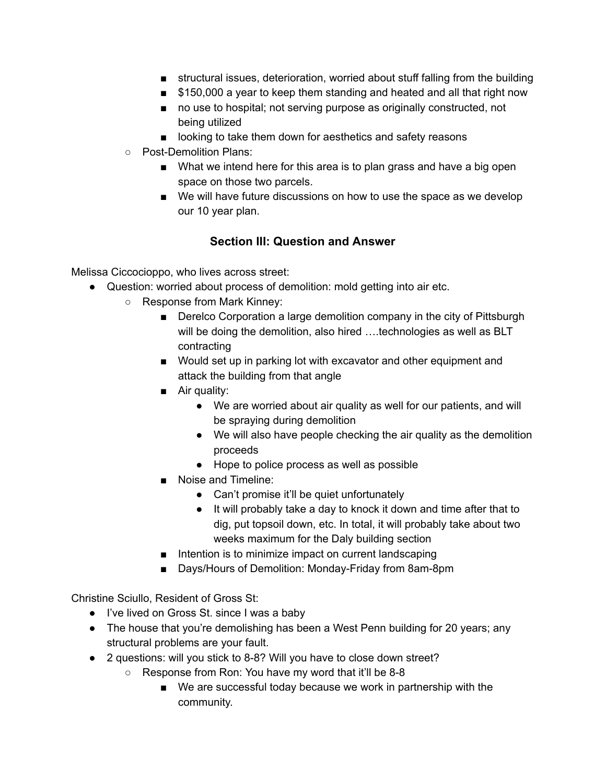- structural issues, deterioration, worried about stuff falling from the building
- \$150,000 a year to keep them standing and heated and all that right now
- no use to hospital; not serving purpose as originally constructed, not being utilized
- looking to take them down for aesthetics and safety reasons
- Post-Demolition Plans:
	- What we intend here for this area is to plan grass and have a big open space on those two parcels.
	- We will have future discussions on how to use the space as we develop our 10 year plan.

### Section III: Question and Answer

Melissa Ciccocioppo, who lives across street:

- Question: worried about process of demolition: mold getting into air etc.
	- Response from Mark Kinney:
		- Derelco Corporation a large demolition company in the city of Pittsburgh will be doing the demolition, also hired ....technologies as well as BLT contracting
		- Would set up in parking lot with excavator and other equipment and attack the building from that angle
		- Air quality:
			- We are worried about air quality as well for our patients, and will be spraying during demolition
			- We will also have people checking the air quality as the demolition proceeds
			- Hope to police process as well as possible
		- Noise and Timeline:
			- Can't promise it'll be quiet unfortunately
			- It will probably take a day to knock it down and time after that to dig, put topsoil down, etc. In total, it will probably take about two weeks maximum for the Daly building section
		- Intention is to minimize impact on current landscaping
		- Days/Hours of Demolition: Monday-Friday from 8am-8pm

Christine Sciullo, Resident of Gross St:

- I've lived on Gross St. since I was a baby
- The house that you're demolishing has been a West Penn building for 20 years; any structural problems are your fault.
- 2 questions: will you stick to 8-8? Will you have to close down street?
	- Response from Ron: You have my word that it'll be 8-8
		- We are successful today because we work in partnership with the community.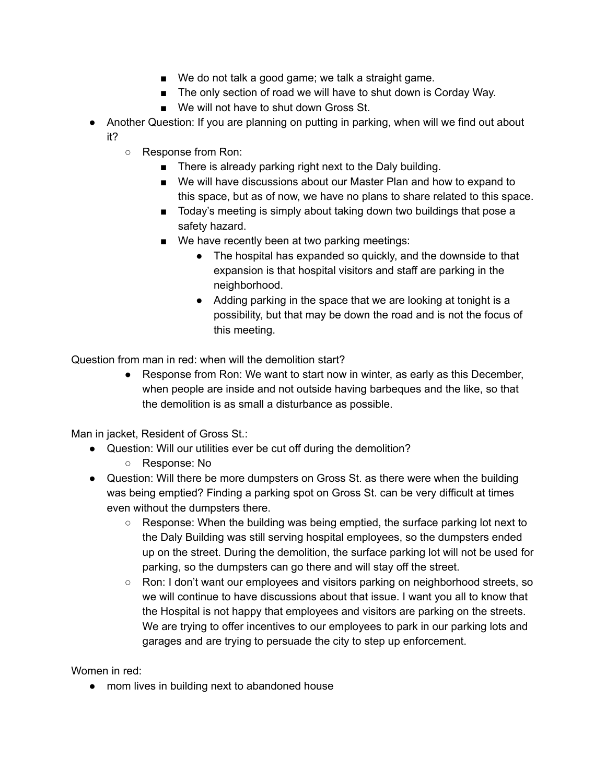- We do not talk a good game; we talk a straight game.
- The only section of road we will have to shut down is Corday Way.
- We will not have to shut down Gross St.
- Another Question: If you are planning on putting in parking, when will we find out about it?
	- Response from Ron:
		- There is already parking right next to the Daly building.
		- We will have discussions about our Master Plan and how to expand to this space, but as of now, we have no plans to share related to this space.
		- Today's meeting is simply about taking down two buildings that pose a safety hazard.
		- We have recently been at two parking meetings:
			- The hospital has expanded so quickly, and the downside to that expansion is that hospital visitors and staff are parking in the neighborhood.
			- Adding parking in the space that we are looking at tonight is a possibility, but that may be down the road and is not the focus of this meeting.

Question from man in red: when will the demolition start?

● Response from Ron: We want to start now in winter, as early as this December, when people are inside and not outside having barbeques and the like, so that the demolition is as small a disturbance as possible.

Man in jacket, Resident of Gross St.:

- Question: Will our utilities ever be cut off during the demolition?
	- Response: No
- Question: Will there be more dumpsters on Gross St. as there were when the building was being emptied? Finding a parking spot on Gross St. can be very difficult at times even without the dumpsters there.
	- $\circ$  Response: When the building was being emptied, the surface parking lot next to the Daly Building was still serving hospital employees, so the dumpsters ended up on the street. During the demolition, the surface parking lot will not be used for parking, so the dumpsters can go there and will stay off the street.
	- Ron: I don't want our employees and visitors parking on neighborhood streets, so we will continue to have discussions about that issue. I want you all to know that the Hospital is not happy that employees and visitors are parking on the streets. We are trying to offer incentives to our employees to park in our parking lots and garages and are trying to persuade the city to step up enforcement.

Women in red:

● mom lives in building next to abandoned house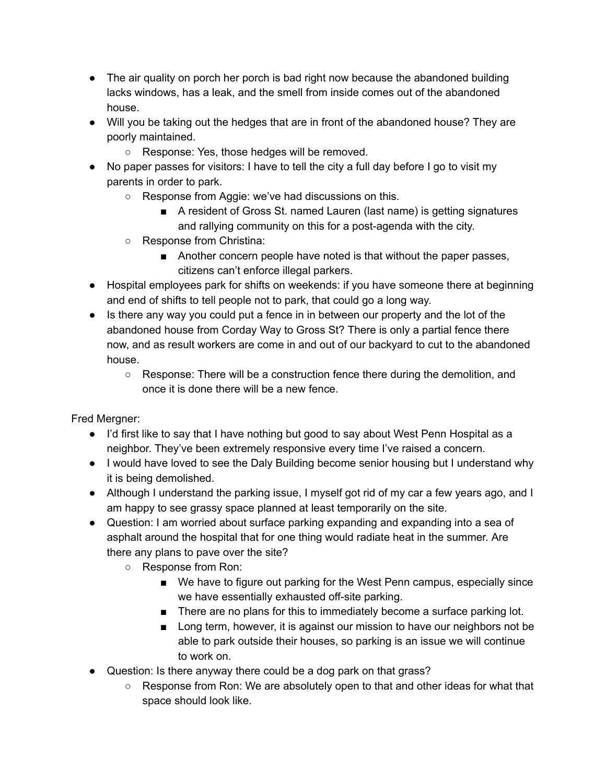- The air quality on porch her porch is bad right now because the abandoned building lacks windows, has a leak, and the smell from inside comes out of the abandoned house.
- Will you be taking out the hedges that are in front of the abandoned house? They are poorly maintained.
	- Response: Yes, those hedges will be removed.
- No paper passes for visitors: I have to tell the city a full day before I go to visit my parents in order to park.
	- Response from Aggie: we've had discussions on this.
		- A resident of Gross St. named Lauren (last name) is getting signatures and rallying community on this for a post-agenda with the city.
	- Response from Christina:
		- Another concern people have noted is that without the paper passes, citizens can't enforce illegal parkers.
- Hospital employees park for shifts on weekends: if you have someone there at beginning and end of shifts to tell people not to park, that could go a long way.
- Is there any way you could put a fence in in between our property and the lot of the abandoned house from Corday Way to Gross St? There is only a partial fence there now, and as result workers are come in and out of our backyard to cut to the abandoned house.
	- Response: There will be a construction fence there during the demolition, and once it is done there will be a new fence.

Fred Mergner:

- I'd first like to say that I have nothing but good to say about West Penn Hospital as a neighbor. They've been extremely responsive every time I've raised a concern.
- I would have loved to see the Daly Building become senior housing but I understand why it is being demolished.
- Although I understand the parking issue, I myself got rid of my car a few years ago, and I am happy to see grassy space planned at least temporarily on the site.
- Question: I am worried about surface parking expanding and expanding into a sea of asphalt around the hospital that for one thing would radiate heat in the summer. Are there any plans to pave over the site?
	- Response from Ron:
		- We have to figure out parking for the West Penn campus, especially since we have essentially exhausted off-site parking.
		- There are no plans for this to immediately become a surface parking lot.
		- Long term, however, it is against our mission to have our neighbors not be able to park outside their houses, so parking is an issue we will continue to work on.
- Question: Is there anyway there could be a dog park on that grass?
	- Response from Ron: We are absolutely open to that and other ideas for what that space should look like.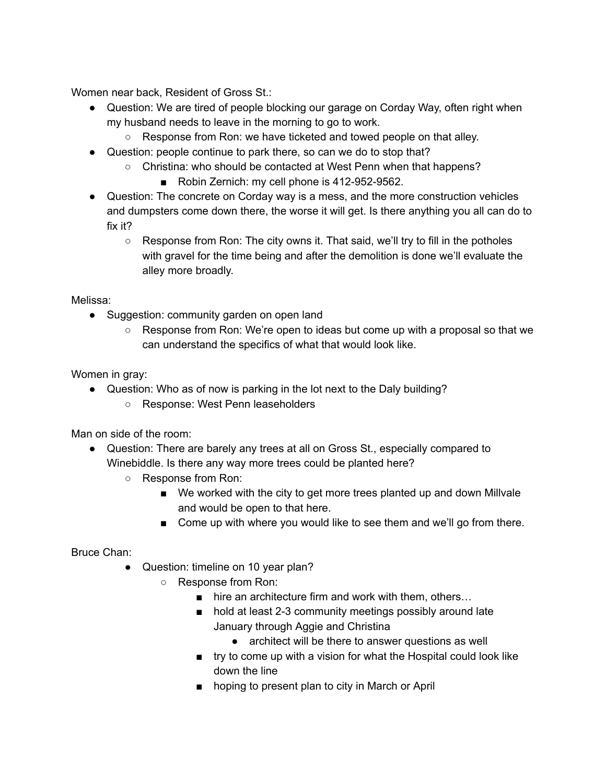Women near back, Resident of Gross St.:

- Question: We are tired of people blocking our garage on Corday Way, often right when my husband needs to leave in the morning to go to work.
	- Response from Ron: we have ticketed and towed people on that alley.
- Question: people continue to park there, so can we do to stop that?
	- Christina: who should be contacted at West Penn when that happens?
		- Robin Zernich: my cell phone is 412-952-9562.
- Question: The concrete on Corday way is a mess, and the more construction vehicles and dumpsters come down there, the worse it will get. Is there anything you all can do to fix it?
	- $\circ$  Response from Ron: The city owns it. That said, we'll try to fill in the potholes with gravel for the time being and after the demolition is done we'll evaluate the alley more broadly.

Melissa:

- Suggestion: community garden on open land
	- Response from Ron: We're open to ideas but come up with a proposal so that we can understand the specifics of what that would look like.

Women in gray:

• Question: Who as of now is parking in the lot next to the Daly building? ○ Response: West Penn leaseholders

Man on side of the room:

- Question: There are barely any trees at all on Gross St., especially compared to Winebiddle. Is there any way more trees could be planted here?
	- Response from Ron:
		- We worked with the city to get more trees planted up and down Millvale and would be open to that here.
		- Come up with where you would like to see them and we'll go from there.

Bruce Chan:

- Question: timeline on 10 year plan?
	- Response from Ron:
		- hire an architecture firm and work with them, others...
		- hold at least 2-3 community meetings possibly around late January through Aggie and Christina
			- architect will be there to answer questions as well
		- try to come up with a vision for what the Hospital could look like down the line
		- hoping to present plan to city in March or April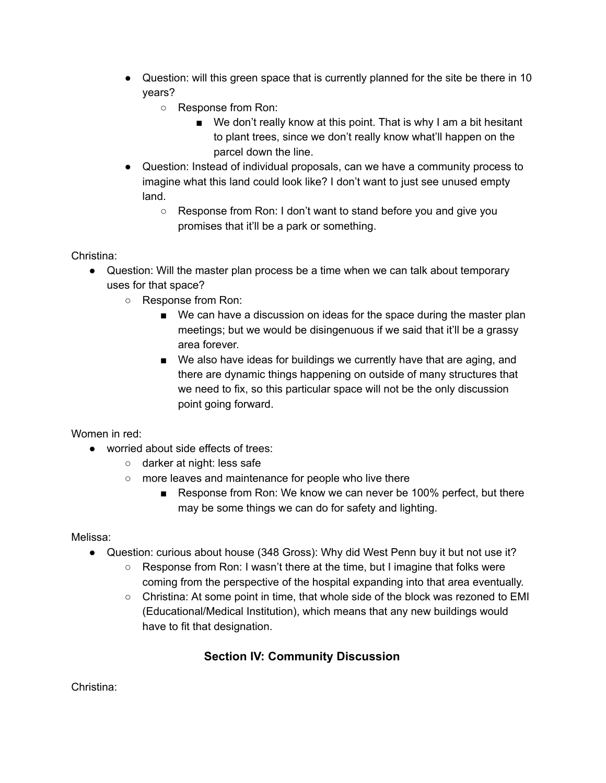- Question: will this green space that is currently planned for the site be there in 10 years?
	- Response from Ron:
		- We don't really know at this point. That is why I am a bit hesitant to plant trees, since we don't really know what'll happen on the parcel down the line.
- Question: Instead of individual proposals, can we have a community process to imagine what this land could look like? I don't want to just see unused empty land.
	- Response from Ron: I don't want to stand before you and give you promises that it'll be a park or something.

### Christina:

- Question: Will the master plan process be a time when we can talk about temporary uses for that space?
	- Response from Ron:
		- We can have a discussion on ideas for the space during the master plan meetings; but we would be disingenuous if we said that it'll be a grassy area forever.
		- We also have ideas for buildings we currently have that are aging, and there are dynamic things happening on outside of many structures that we need to fix, so this particular space will not be the only discussion point going forward.

### Women in red:

- worried about side effects of trees:
	- darker at night: less safe
	- more leaves and maintenance for people who live there
		- Response from Ron: We know we can never be 100% perfect, but there may be some things we can do for safety and lighting.

### Melissa:

- Question: curious about house (348 Gross): Why did West Penn buy it but not use it?
	- Response from Ron: I wasn't there at the time, but I imagine that folks were coming from the perspective of the hospital expanding into that area eventually.
		- $\circ$  Christina: At some point in time, that whole side of the block was rezoned to EMI (Educational/Medical Institution), which means that any new buildings would have to fit that designation.

# Section IV: Community Discussion

Christina: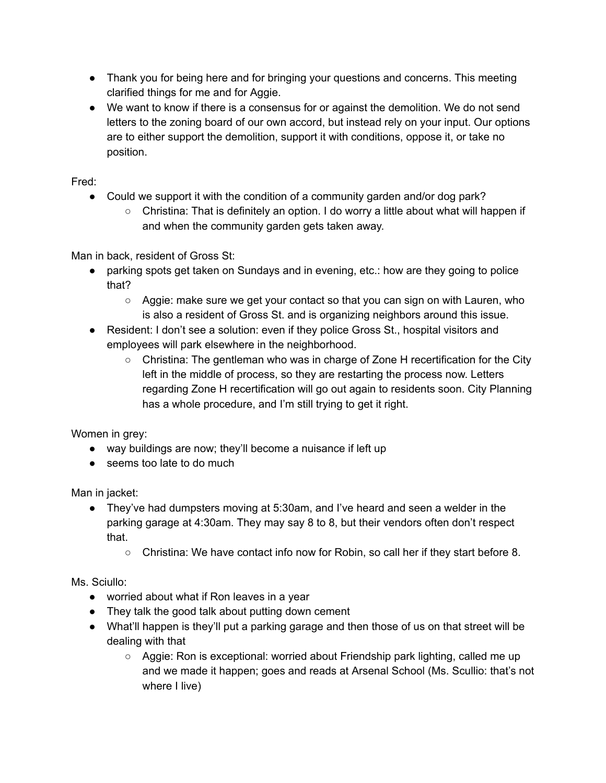- Thank you for being here and for bringing your questions and concerns. This meeting clarified things for me and for Aggie.
- We want to know if there is a consensus for or against the demolition. We do not send letters to the zoning board of our own accord, but instead rely on your input. Our options are to either support the demolition, support it with conditions, oppose it, or take no position.

Fred:

- Could we support it with the condition of a community garden and/or dog park?
	- Christina: That is definitely an option. I do worry a little about what will happen if and when the community garden gets taken away.

Man in back, resident of Gross St:

- parking spots get taken on Sundays and in evening, etc.: how are they going to police that?
	- Aggie: make sure we get your contact so that you can sign on with Lauren, who is also a resident of Gross St. and is organizing neighbors around this issue.
- Resident: I don't see a solution: even if they police Gross St., hospital visitors and employees will park elsewhere in the neighborhood.
	- $\circ$  Christina: The gentleman who was in charge of Zone H recertification for the City left in the middle of process, so they are restarting the process now. Letters regarding Zone H recertification will go out again to residents soon. City Planning has a whole procedure, and I'm still trying to get it right.

Women in grey:

- way buildings are now; they'll become a nuisance if left up
- seems too late to do much

Man in jacket:

- They've had dumpsters moving at 5:30am, and I've heard and seen a welder in the parking garage at 4:30am. They may say 8 to 8, but their vendors often don't respect that.
	- Christina: We have contact info now for Robin, so call her if they start before 8.

Ms. Sciullo:

- worried about what if Ron leaves in a year
- They talk the good talk about putting down cement
- What'll happen is they'll put a parking garage and then those of us on that street will be dealing with that
	- Aggie: Ron is exceptional: worried about Friendship park lighting, called me up and we made it happen; goes and reads at Arsenal School (Ms. Scullio: that's not where I live)